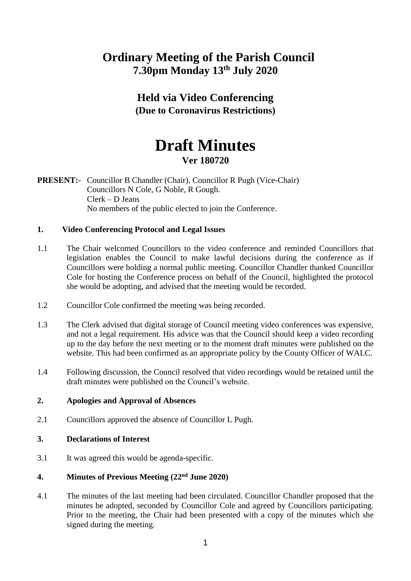# **Ordinary Meeting of the Parish Council 7.30pm Monday 13th July 2020**

# **Held via Video Conferencing (Due to Coronavirus Restrictions)**

# **Draft Minutes Ver 180720**

**PRESENT:-** Councillor B Chandler (Chair), Councillor R Pugh (Vice-Chair) Councillors N Cole, G Noble, R Gough. Clerk – D Jeans No members of the public elected to join the Conference.

# **1. Video Conferencing Protocol and Legal Issues**

- 1.1 The Chair welcomed Councillors to the video conference and reminded Councillors that legislation enables the Council to make lawful decisions during the conference as if Councillors were holding a normal public meeting. Councillor Chandler thanked Councillor Cole for hosting the Conference process on behalf of the Council, highlighted the protocol she would be adopting, and advised that the meeting would be recorded.
- 1.2 Councillor Cole confirmed the meeting was being recorded.
- 1.3 The Clerk advised that digital storage of Council meeting video conferences was expensive, and not a legal requirement. His advice was that the Council should keep a video recording up to the day before the next meeting or to the moment draft minutes were published on the website. This had been confirmed as an appropriate policy by the County Officer of WALC.
- 1.4 Following discussion, the Council resolved that video recordings would be retained until the draft minutes were published on the Council's website.

#### **2. Apologies and Approval of Absences**

2.1 Councillors approved the absence of Councillor L Pugh.

#### **3. Declarations of Interest**

3.1 It was agreed this would be agenda-specific.

# **4. Minutes of Previous Meeting (22nd June 2020)**

4.1 The minutes of the last meeting had been circulated. Councillor Chandler proposed that the minutes be adopted, seconded by Councillor Cole and agreed by Councillors participating. Prior to the meeting, the Chair had been presented with a copy of the minutes which she signed during the meeting.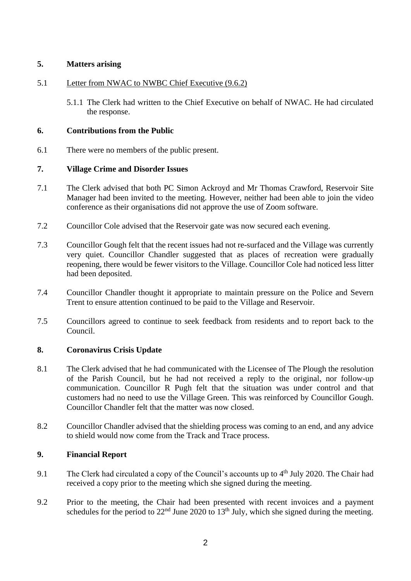# **5. Matters arising**

# 5.1 Letter from NWAC to NWBC Chief Executive (9.6.2)

5.1.1 The Clerk had written to the Chief Executive on behalf of NWAC. He had circulated the response.

# **6. Contributions from the Public**

6.1 There were no members of the public present.

# **7. Village Crime and Disorder Issues**

- 7.1 The Clerk advised that both PC Simon Ackroyd and Mr Thomas Crawford, Reservoir Site Manager had been invited to the meeting. However, neither had been able to join the video conference as their organisations did not approve the use of Zoom software.
- 7.2 Councillor Cole advised that the Reservoir gate was now secured each evening.
- 7.3 Councillor Gough felt that the recent issues had not re-surfaced and the Village was currently very quiet. Councillor Chandler suggested that as places of recreation were gradually reopening, there would be fewer visitors to the Village. Councillor Cole had noticed less litter had been deposited.
- 7.4 Councillor Chandler thought it appropriate to maintain pressure on the Police and Severn Trent to ensure attention continued to be paid to the Village and Reservoir.
- 7.5 Councillors agreed to continue to seek feedback from residents and to report back to the Council.

#### **8. Coronavirus Crisis Update**

- 8.1 The Clerk advised that he had communicated with the Licensee of The Plough the resolution of the Parish Council, but he had not received a reply to the original, nor follow-up communication. Councillor R Pugh felt that the situation was under control and that customers had no need to use the Village Green. This was reinforced by Councillor Gough. Councillor Chandler felt that the matter was now closed.
- 8.2 Councillor Chandler advised that the shielding process was coming to an end, and any advice to shield would now come from the Track and Trace process.

# **9. Financial Report**

- 9.1 The Clerk had circulated a copy of the Council's accounts up to 4<sup>th</sup> July 2020. The Chair had received a copy prior to the meeting which she signed during the meeting.
- 9.2 Prior to the meeting, the Chair had been presented with recent invoices and a payment schedules for the period to  $22<sup>nd</sup>$  June 2020 to  $13<sup>th</sup>$  July, which she signed during the meeting.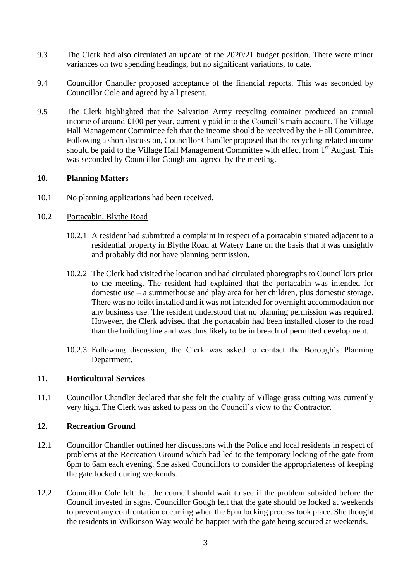- 9.3 The Clerk had also circulated an update of the 2020/21 budget position. There were minor variances on two spending headings, but no significant variations, to date.
- 9.4 Councillor Chandler proposed acceptance of the financial reports. This was seconded by Councillor Cole and agreed by all present.
- 9.5 The Clerk highlighted that the Salvation Army recycling container produced an annual income of around £100 per year, currently paid into the Council's main account. The Village Hall Management Committee felt that the income should be received by the Hall Committee. Following a short discussion, Councillor Chandler proposed that the recycling-related income should be paid to the Village Hall Management Committee with effect from 1<sup>st</sup> August. This was seconded by Councillor Gough and agreed by the meeting.

#### **10. Planning Matters**

10.1 No planning applications had been received.

# 10.2 Portacabin, Blythe Road

- 10.2.1 A resident had submitted a complaint in respect of a portacabin situated adjacent to a residential property in Blythe Road at Watery Lane on the basis that it was unsightly and probably did not have planning permission.
- 10.2.2 The Clerk had visited the location and had circulated photographs to Councillors prior to the meeting. The resident had explained that the portacabin was intended for domestic use – a summerhouse and play area for her children, plus domestic storage. There was no toilet installed and it was not intended for overnight accommodation nor any business use. The resident understood that no planning permission was required. However, the Clerk advised that the portacabin had been installed closer to the road than the building line and was thus likely to be in breach of permitted development.
- 10.2.3 Following discussion, the Clerk was asked to contact the Borough's Planning Department.

#### **11. Horticultural Services**

11.1 Councillor Chandler declared that she felt the quality of Village grass cutting was currently very high. The Clerk was asked to pass on the Council's view to the Contractor.

#### **12. Recreation Ground**

- 12.1 Councillor Chandler outlined her discussions with the Police and local residents in respect of problems at the Recreation Ground which had led to the temporary locking of the gate from 6pm to 6am each evening. She asked Councillors to consider the appropriateness of keeping the gate locked during weekends.
- 12.2 Councillor Cole felt that the council should wait to see if the problem subsided before the Council invested in signs. Councillor Gough felt that the gate should be locked at weekends to prevent any confrontation occurring when the 6pm locking process took place. She thought the residents in Wilkinson Way would be happier with the gate being secured at weekends.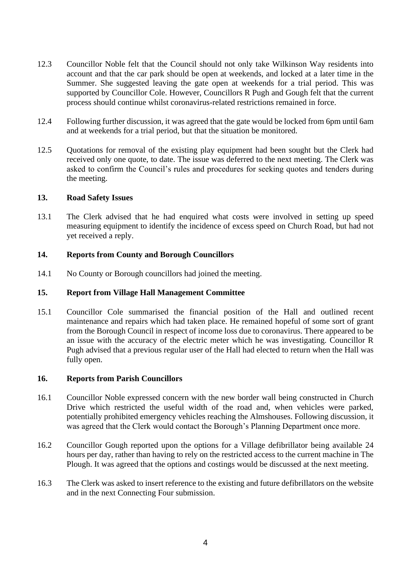- 12.3 Councillor Noble felt that the Council should not only take Wilkinson Way residents into account and that the car park should be open at weekends, and locked at a later time in the Summer. She suggested leaving the gate open at weekends for a trial period. This was supported by Councillor Cole. However, Councillors R Pugh and Gough felt that the current process should continue whilst coronavirus-related restrictions remained in force.
- 12.4 Following further discussion, it was agreed that the gate would be locked from 6pm until 6am and at weekends for a trial period, but that the situation be monitored.
- 12.5 Quotations for removal of the existing play equipment had been sought but the Clerk had received only one quote, to date. The issue was deferred to the next meeting. The Clerk was asked to confirm the Council's rules and procedures for seeking quotes and tenders during the meeting.

#### **13. Road Safety Issues**

13.1 The Clerk advised that he had enquired what costs were involved in setting up speed measuring equipment to identify the incidence of excess speed on Church Road, but had not yet received a reply.

# **14. Reports from County and Borough Councillors**

14.1 No County or Borough councillors had joined the meeting.

# **15. Report from Village Hall Management Committee**

15.1 Councillor Cole summarised the financial position of the Hall and outlined recent maintenance and repairs which had taken place. He remained hopeful of some sort of grant from the Borough Council in respect of income loss due to coronavirus. There appeared to be an issue with the accuracy of the electric meter which he was investigating. Councillor R Pugh advised that a previous regular user of the Hall had elected to return when the Hall was fully open.

#### **16. Reports from Parish Councillors**

- 16.1 Councillor Noble expressed concern with the new border wall being constructed in Church Drive which restricted the useful width of the road and, when vehicles were parked, potentially prohibited emergency vehicles reaching the Almshouses. Following discussion, it was agreed that the Clerk would contact the Borough's Planning Department once more.
- 16.2 Councillor Gough reported upon the options for a Village defibrillator being available 24 hours per day, rather than having to rely on the restricted access to the current machine in The Plough. It was agreed that the options and costings would be discussed at the next meeting.
- 16.3 The Clerk was asked to insert reference to the existing and future defibrillators on the website and in the next Connecting Four submission.